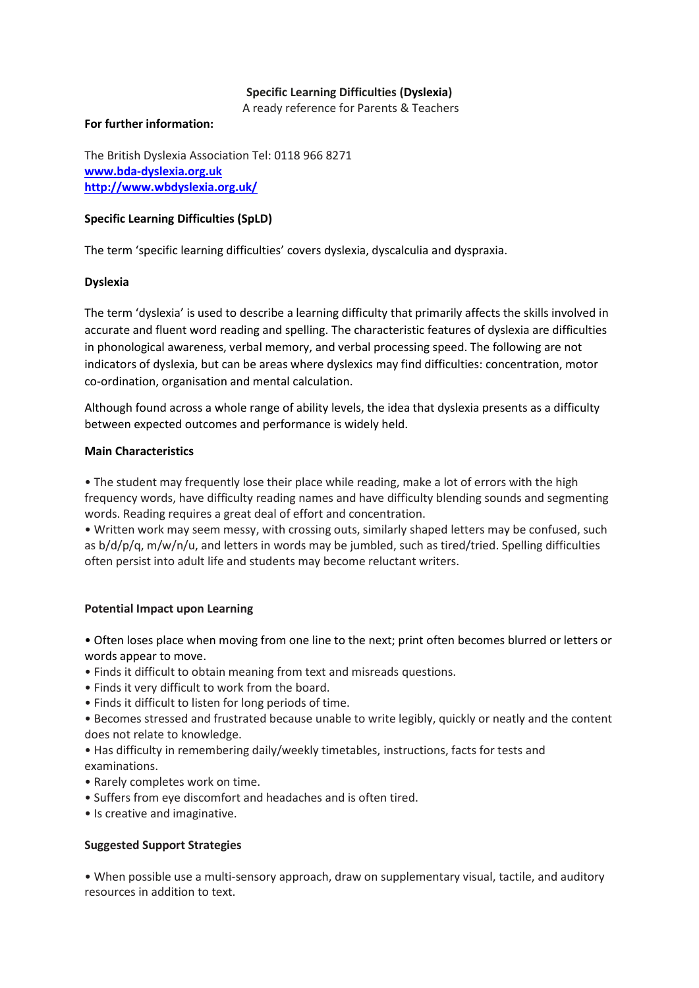# **Specific Learning Difficulties (Dyslexia)**

A ready reference for Parents & Teachers

#### **For further information:**

The British Dyslexia Association Tel: 0118 966 8271 **[www.bda-dyslexia.org.uk](http://www.bda-dyslexia.org.uk/) <http://www.wbdyslexia.org.uk/>**

## **Specific Learning Difficulties (SpLD)**

The term 'specific learning difficulties' covers dyslexia, dyscalculia and dyspraxia.

## **Dyslexia**

The term 'dyslexia' is used to describe a learning difficulty that primarily affects the skills involved in accurate and fluent word reading and spelling. The characteristic features of dyslexia are difficulties in phonological awareness, verbal memory, and verbal processing speed. The following are not indicators of dyslexia, but can be areas where dyslexics may find difficulties: concentration, motor co-ordination, organisation and mental calculation.

Although found across a whole range of ability levels, the idea that dyslexia presents as a difficulty between expected outcomes and performance is widely held.

### **Main Characteristics**

• The student may frequently lose their place while reading, make a lot of errors with the high frequency words, have difficulty reading names and have difficulty blending sounds and segmenting words. Reading requires a great deal of effort and concentration.

• Written work may seem messy, with crossing outs, similarly shaped letters may be confused, such as b/d/p/q, m/w/n/u, and letters in words may be jumbled, such as tired/tried. Spelling difficulties often persist into adult life and students may become reluctant writers.

### **Potential Impact upon Learning**

• Often loses place when moving from one line to the next; print often becomes blurred or letters or words appear to move.

- Finds it difficult to obtain meaning from text and misreads questions.
- Finds it very difficult to work from the board.
- Finds it difficult to listen for long periods of time.
- Becomes stressed and frustrated because unable to write legibly, quickly or neatly and the content does not relate to knowledge.
- Has difficulty in remembering daily/weekly timetables, instructions, facts for tests and examinations.
- Rarely completes work on time.
- Suffers from eye discomfort and headaches and is often tired.
- Is creative and imaginative.

### **Suggested Support Strategies**

• When possible use a multi-sensory approach, draw on supplementary visual, tactile, and auditory resources in addition to text.